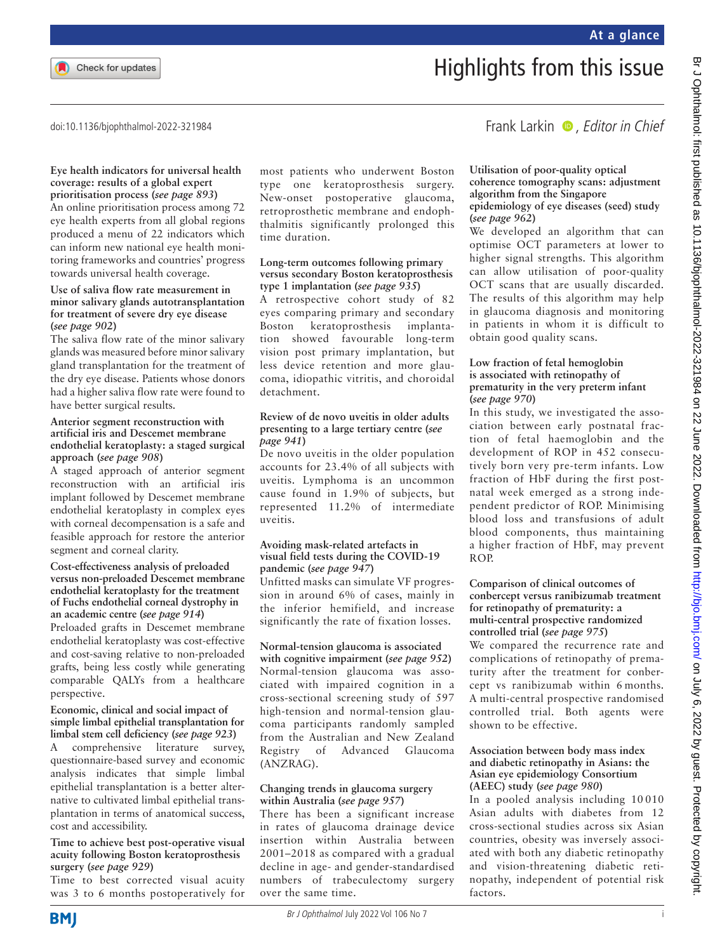

# Highlights from this issue

doi:10.1136/bjophthalmol-2022-321984

#### **Eye health indicators for universal health coverage: results of a global expert prioritisation process (***see page 893***)**

An online prioritisation process among 72 eye health experts from all global regions produced a menu of 22 indicators which can inform new national eye health monitoring frameworks and countries' progress towards universal health coverage.

#### **Use of saliva flow rate measurement in minor salivary glands autotransplantation for treatment of severe dry eye disease (***see page 902***)**

The saliva flow rate of the minor salivary glands was measured before minor salivary gland transplantation for the treatment of the dry eye disease. Patients whose donors had a higher saliva flow rate were found to have better surgical results.

#### **Anterior segment reconstruction with artificial iris and Descemet membrane endothelial keratoplasty: a staged surgical approach (***see page 908***)**

A staged approach of anterior segment reconstruction with an artificial iris implant followed by Descemet membrane endothelial keratoplasty in complex eyes with corneal decompensation is a safe and feasible approach for restore the anterior segment and corneal clarity.

#### **Cost-effectiveness analysis of preloaded versus non-preloaded Descemet membrane endothelial keratoplasty for the treatment of Fuchs endothelial corneal dystrophy in an academic centre (***see page 914***)**

Preloaded grafts in Descemet membrane endothelial keratoplasty was cost-effective and cost-saving relative to non-preloaded grafts, being less costly while generating comparable QALYs from a healthcare perspective.

#### **Economic, clinical and social impact of simple limbal epithelial transplantation for limbal stem cell deficiency (***see page 923***)**

A comprehensive literature survey, questionnaire-based survey and economic analysis indicates that simple limbal epithelial transplantation is a better alternative to cultivated limbal epithelial transplantation in terms of anatomical success, cost and accessibility.

#### **Time to achieve best post-operative visual acuity following Boston keratoprosthesis surgery (***see page 929***)**

Time to best corrected visual acuity was 3 to 6 months postoperatively for

most patients who underwent Boston type one keratoprosthesis surgery. New-onset postoperative glaucoma, retroprosthetic membrane and endophthalmitis significantly prolonged this time duration.

#### **Long-term outcomes following primary versus secondary Boston keratoprosthesis type 1 implantation (***see page 935***)**

A retrospective cohort study of 82 eyes comparing primary and secondary Boston keratoprosthesis implantation showed favourable long-term vision post primary implantation, but less device retention and more glaucoma, idiopathic vitritis, and choroidal detachment.

#### **Review of de novo uveitis in older adults presenting to a large tertiary centre (***see page 941***)**

De novo uveitis in the older population accounts for 23.4% of all subjects with uveitis. Lymphoma is an uncommon cause found in 1.9% of subjects, but represented 11.2% of intermediate uveitis.

#### **Avoiding mask-related artefacts in visual field tests during the COVID-19 pandemic (***see page 947***)**

Unfitted masks can simulate VF progression in around 6% of cases, mainly in the inferior hemifield, and increase significantly the rate of fixation losses.

# **Normal-tension glaucoma is associated**

**with cognitive impairment (***see page 952***)** Normal-tension glaucoma was associated with impaired cognition in a cross-sectional screening study of 597 high-tension and normal-tension glaucoma participants randomly sampled from the Australian and New Zealand Registry of Advanced Glaucoma (ANZRAG).

#### **Changing trends in glaucoma surgery within Australia (***see page 957***)**

There has been a significant increase in rates of glaucoma drainage device insertion within Australia between 2001–2018 as compared with a gradual decline in age- and gender-standardised numbers of trabeculectomy surgery over the same time.

# Frank Larkin  $\bullet$ , Editor in Chief

#### **Utilisation of poor-quality optical coherence tomography scans: adjustment algorithm from the Singapore epidemiology of eye diseases (seed) study (***see page 962***)**

We developed an algorithm that can optimise OCT parameters at lower to higher signal strengths. This algorithm can allow utilisation of poor-quality OCT scans that are usually discarded. The results of this algorithm may help in glaucoma diagnosis and monitoring in patients in whom it is difficult to obtain good quality scans.

#### **Low fraction of fetal hemoglobin is associated with retinopathy of prematurity in the very preterm infant (***see page 970***)**

In this study, we investigated the association between early postnatal fraction of fetal haemoglobin and the development of ROP in 452 consecutively born very pre-term infants. Low fraction of HbF during the first postnatal week emerged as a strong independent predictor of ROP. Minimising blood loss and transfusions of adult blood components, thus maintaining a higher fraction of HbF, may prevent ROP.

#### **Comparison of clinical outcomes of conbercept versus ranibizumab treatment for retinopathy of prematurity: a multi-central prospective randomized controlled trial (***see page 975***)**

We compared the recurrence rate and complications of retinopathy of prematurity after the treatment for conbercept vs ranibizumab within 6 months. A multi-central prospective randomised controlled trial. Both agents were shown to be effective.

#### **Association between body mass index and diabetic retinopathy in Asians: the Asian eye epidemiology Consortium (AEEC) study (***see page 980***)**

In a pooled analysis including 10 010 Asian adults with diabetes from 12 cross-sectional studies across six Asian countries, obesity was inversely associated with both any diabetic retinopathy and vision-threatening diabetic retinopathy, independent of potential risk factors.